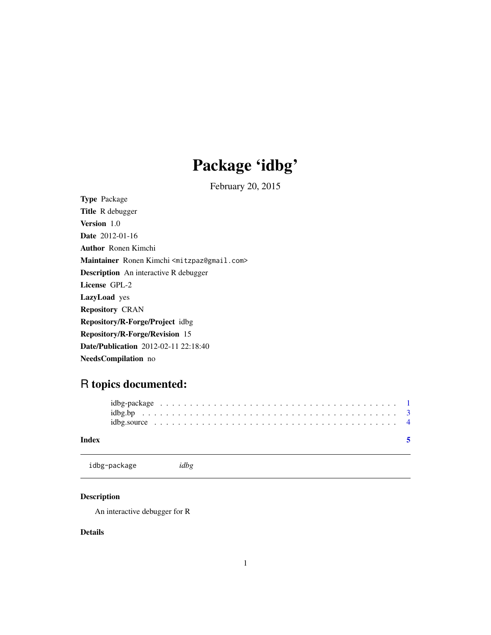## Package 'idbg'

February 20, 2015

<span id="page-0-1"></span><span id="page-0-0"></span>Type Package Title R debugger Version 1.0 Date 2012-01-16 Author Ronen Kimchi Maintainer Ronen Kimchi <mitzpaz@gmail.com> Description An interactive R debugger License GPL-2 LazyLoad yes Repository CRAN Repository/R-Forge/Project idbg Repository/R-Forge/Revision 15 Date/Publication 2012-02-11 22:18:40 NeedsCompilation no

### R topics documented:

| Index |  |  |  |  |  |  |  |  |  |  |  |  |  |  |  |  |  |  |  |  |
|-------|--|--|--|--|--|--|--|--|--|--|--|--|--|--|--|--|--|--|--|--|
|       |  |  |  |  |  |  |  |  |  |  |  |  |  |  |  |  |  |  |  |  |
|       |  |  |  |  |  |  |  |  |  |  |  |  |  |  |  |  |  |  |  |  |
|       |  |  |  |  |  |  |  |  |  |  |  |  |  |  |  |  |  |  |  |  |

idbg-package *idbg*

#### Description

An interactive debugger for R

#### Details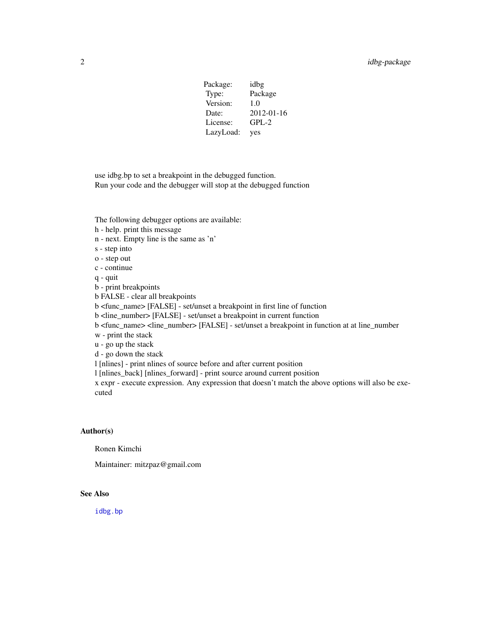| Package:  | idbg       |
|-----------|------------|
| Type:     | Package    |
| Version:  | 1.0        |
| Date:     | 2012-01-16 |
| License:  | $GPL-2$    |
| LazyLoad: | yes        |

<span id="page-1-0"></span>use idbg.bp to set a breakpoint in the debugged function. Run your code and the debugger will stop at the debugged function

The following debugger options are available:

h - help. print this message

n - next. Empty line is the same as 'n'

s - step into

o - step out

c - continue

q - quit

b - print breakpoints

b FALSE - clear all breakpoints

b <func\_name> [FALSE] - set/unset a breakpoint in first line of function

b <line\_number> [FALSE] - set/unset a breakpoint in current function

b <func\_name> <line\_number> [FALSE] - set/unset a breakpoint in function at at line\_number

w - print the stack

u - go up the stack

d - go down the stack

l [nlines] - print nlines of source before and after current position

l [nlines\_back] [nlines\_forward] - print source around current position

x expr - execute expression. Any expression that doesn't match the above options will also be executed

#### Author(s)

Ronen Kimchi

Maintainer: mitzpaz@gmail.com

#### See Also

[idbg.bp](#page-2-1)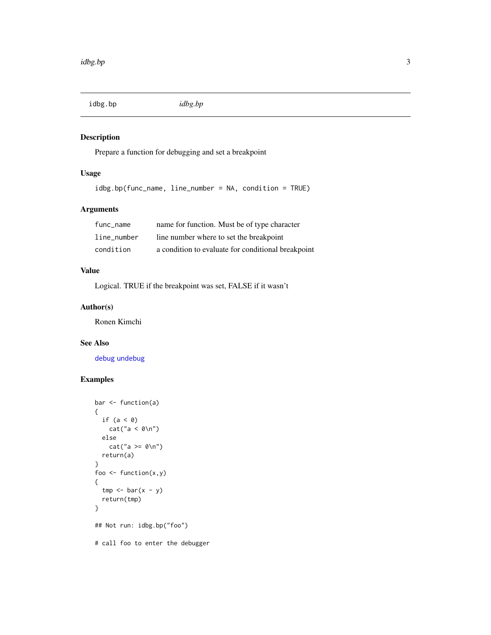<span id="page-2-1"></span><span id="page-2-0"></span>idbg.bp *idbg.bp*

#### Description

Prepare a function for debugging and set a breakpoint

#### Usage

idbg.bp(func\_name, line\_number = NA, condition = TRUE)

#### Arguments

| func name   | name for function. Must be of type character       |
|-------------|----------------------------------------------------|
| line number | line number where to set the breakpoint            |
| condition   | a condition to evaluate for conditional breakpoint |

#### Value

Logical. TRUE if the breakpoint was set, FALSE if it wasn't

#### Author(s)

Ronen Kimchi

#### See Also

[debug](#page-0-1) [undebug](#page-0-1)

#### Examples

```
bar <- function(a)
{
  if (a < 0)cat("a < 0\nu")else
    cat("a >= 0\nu")return(a)
}
foo \leq function(x,y)
{
  tmp \leftarrow bar(x - y)return(tmp)
}
## Not run: idbg.bp("foo")
# call foo to enter the debugger
```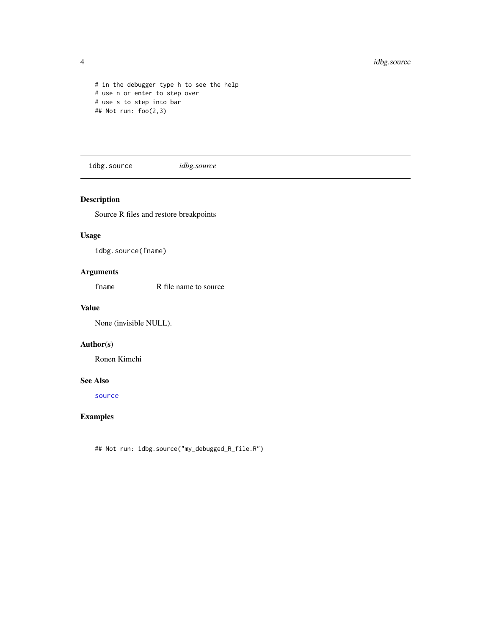```
# in the debugger type h to see the help
# use n or enter to step over
# use s to step into bar
## Not run: foo(2,3)
```
idbg.source *idbg.source*

#### Description

Source R files and restore breakpoints

#### Usage

idbg.source(fname)

#### Arguments

fname R file name to source

#### Value

None (invisible NULL).

#### Author(s)

Ronen Kimchi

#### See Also

[source](#page-0-1)

#### Examples

## Not run: idbg.source("my\_debugged\_R\_file.R")

<span id="page-3-0"></span>